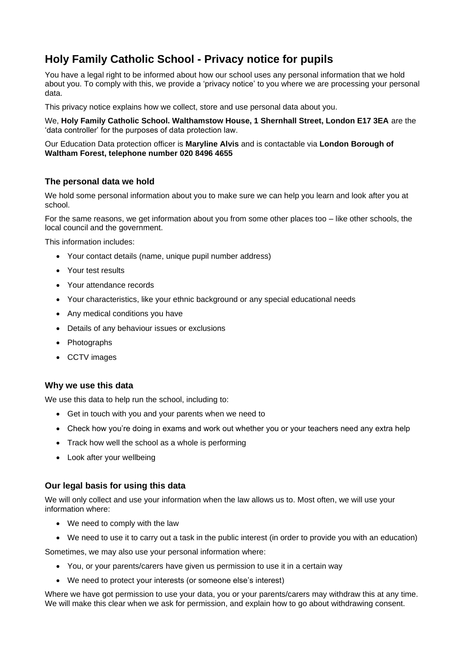# **Holy Family Catholic School - Privacy notice for pupils**

You have a legal right to be informed about how our school uses any personal information that we hold about you. To comply with this, we provide a 'privacy notice' to you where we are processing your personal data.

This privacy notice explains how we collect, store and use personal data about you.

We, **Holy Family Catholic School. Walthamstow House, 1 Shernhall Street, London E17 3EA** are the 'data controller' for the purposes of data protection law.

### Our Education Data protection officer is **Maryline Alvis** and is contactable via **London Borough of Waltham Forest, telephone number 020 8496 4655**

# **The personal data we hold**

We hold some personal information about you to make sure we can help you learn and look after you at school.

For the same reasons, we get information about you from some other places too – like other schools, the local council and the government.

This information includes:

- Your contact details (name, unique pupil number address)
- Your test results
- Your attendance records
- Your characteristics, like your ethnic background or any special educational needs
- Any medical conditions you have
- Details of any behaviour issues or exclusions
- Photographs
- CCTV images

### **Why we use this data**

We use this data to help run the school, including to:

- Get in touch with you and your parents when we need to
- Check how you're doing in exams and work out whether you or your teachers need any extra help
- Track how well the school as a whole is performing
- Look after your wellbeing

### **Our legal basis for using this data**

We will only collect and use your information when the law allows us to. Most often, we will use your information where:

- We need to comply with the law
- We need to use it to carry out a task in the public interest (in order to provide you with an education)

Sometimes, we may also use your personal information where:

- You, or your parents/carers have given us permission to use it in a certain way
- We need to protect your interests (or someone else's interest)

Where we have got permission to use your data, you or your parents/carers may withdraw this at any time. We will make this clear when we ask for permission, and explain how to go about withdrawing consent.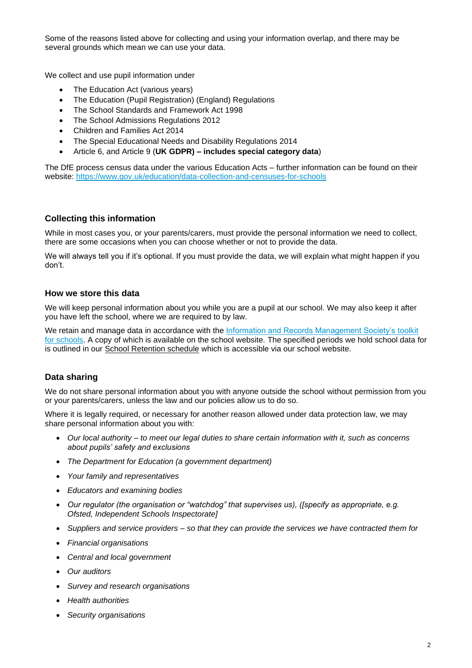Some of the reasons listed above for collecting and using your information overlap, and there may be several grounds which mean we can use your data.

We collect and use pupil information under

- The Education Act (various years)
- The Education (Pupil Registration) (England) Regulations
- The School Standards and Framework Act 1998
- The School Admissions Regulations 2012
- Children and Families Act 2014
- The Special Educational Needs and Disability Regulations 2014
- Article 6, and Article 9 (**UK GDPR) – includes special category data**)

The DfE process census data under the various Education Acts – further information can be found on their website:<https://www.gov.uk/education/data-collection-and-censuses-for-schools>

# **Collecting this information**

While in most cases you, or your parents/carers, must provide the personal information we need to collect, there are some occasions when you can choose whether or not to provide the data.

We will always tell you if it's optional. If you must provide the data, we will explain what might happen if you don't.

# **How we store this data**

We will keep personal information about you while you are a pupil at our school. We may also keep it after you have left the school, where we are required to by law.

We retain and manage data in accordance with the [Information and Records Management Society's](http://irms.org.uk/?page=schoolstoolkit&terms=%22toolkit+and+schools%22) toolkit [for schools.](http://irms.org.uk/?page=schoolstoolkit&terms=%22toolkit+and+schools%22) A copy of which is available on the school website. The specified periods we hold school data for is outlined in our School Retention schedule which is accessible via our school website.

### **Data sharing**

We do not share personal information about you with anyone outside the school without permission from you or your parents/carers, unless the law and our policies allow us to do so.

Where it is legally required, or necessary for another reason allowed under data protection law, we may share personal information about you with:

- *Our local authority – to meet our legal duties to share certain information with it, such as concerns about pupils' safety and exclusions*
- *The Department for Education (a government department)*
- *Your family and representatives*
- *Educators and examining bodies*
- *Our regulator (the organisation or "watchdog" that supervises us), ([specify as appropriate, e.g. Ofsted, Independent Schools Inspectorate]*
- *Suppliers and service providers – so that they can provide the services we have contracted them for*
- *Financial organisations*
- *Central and local government*
- *Our auditors*
- *Survey and research organisations*
- *Health authorities*
- *Security organisations*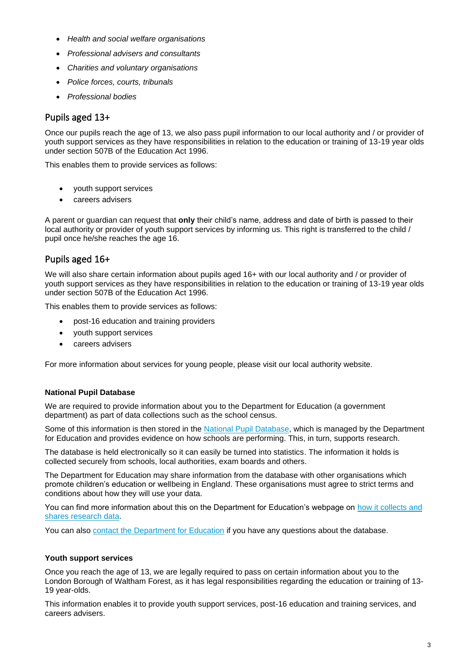- *Health and social welfare organisations*
- *Professional advisers and consultants*
- *Charities and voluntary organisations*
- *Police forces, courts, tribunals*
- *Professional bodies*

# Pupils aged 13+

Once our pupils reach the age of 13, we also pass pupil information to our local authority and / or provider of youth support services as they have responsibilities in relation to the education or training of 13-19 year olds under section 507B of the Education Act 1996.

This enables them to provide services as follows:

- youth support services
- careers advisers

A parent or guardian can request that **only** their child's name, address and date of birth is passed to their local authority or provider of youth support services by informing us. This right is transferred to the child / pupil once he/she reaches the age 16.

# Pupils aged 16+

We will also share certain information about pupils aged 16+ with our local authority and / or provider of youth support services as they have responsibilities in relation to the education or training of 13-19 year olds under section 507B of the Education Act 1996.

This enables them to provide services as follows:

- post-16 education and training providers
- youth support services
- careers advisers

For more information about services for young people, please visit our local authority website.

### **National Pupil Database**

We are required to provide information about you to the Department for Education (a government department) as part of data collections such as the school census.

Some of this information is then stored in the [National Pupil Database,](https://www.gov.uk/government/publications/national-pupil-database-user-guide-and-supporting-information) which is managed by the Department for Education and provides evidence on how schools are performing. This, in turn, supports research.

The database is held electronically so it can easily be turned into statistics. The information it holds is collected securely from schools, local authorities, exam boards and others.

The Department for Education may share information from the database with other organisations which promote children's education or wellbeing in England. These organisations must agree to strict terms and conditions about how they will use your data.

You can find more information about this on the Department for Education's webpage on how it collects and [shares research data.](https://www.gov.uk/data-protection-how-we-collect-and-share-research-data)

You can also [contact the Department for Education](https://www.gov.uk/contact-dfe) if you have any questions about the database.

### **Youth support services**

Once you reach the age of 13, we are legally required to pass on certain information about you to the London Borough of Waltham Forest, as it has legal responsibilities regarding the education or training of 13- 19 year-olds.

This information enables it to provide youth support services, post-16 education and training services, and careers advisers.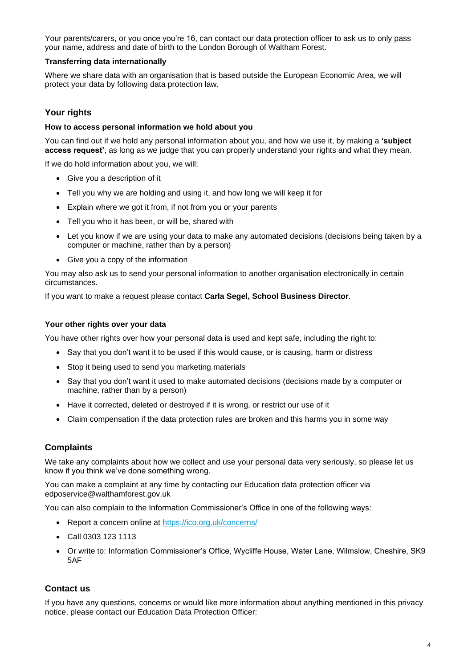Your parents/carers, or you once you're 16, can contact our data protection officer to ask us to only pass your name, address and date of birth to the London Borough of Waltham Forest.

### **Transferring data internationally**

Where we share data with an organisation that is based outside the European Economic Area, we will protect your data by following data protection law.

# **Your rights**

#### **How to access personal information we hold about you**

You can find out if we hold any personal information about you, and how we use it, by making a **'subject access request'**, as long as we judge that you can properly understand your rights and what they mean.

If we do hold information about you, we will:

- Give you a description of it
- Tell you why we are holding and using it, and how long we will keep it for
- Explain where we got it from, if not from you or your parents
- Tell you who it has been, or will be, shared with
- Let you know if we are using your data to make any automated decisions (decisions being taken by a computer or machine, rather than by a person)
- Give you a copy of the information

You may also ask us to send your personal information to another organisation electronically in certain circumstances.

If you want to make a request please contact **Carla Segel, School Business Director**.

#### **Your other rights over your data**

You have other rights over how your personal data is used and kept safe, including the right to:

- Say that you don't want it to be used if this would cause, or is causing, harm or distress
- Stop it being used to send you marketing materials
- Say that you don't want it used to make automated decisions (decisions made by a computer or machine, rather than by a person)
- Have it corrected, deleted or destroyed if it is wrong, or restrict our use of it
- Claim compensation if the data protection rules are broken and this harms you in some way

### **Complaints**

We take any complaints about how we collect and use your personal data very seriously, so please let us know if you think we've done something wrong.

You can make a complaint at any time by contacting our Education data protection officer via edposervice@walthamforest.gov.uk

You can also complain to the Information Commissioner's Office in one of the following ways:

- Report a concern online at<https://ico.org.uk/concerns/>
- Call 0303 123 1113
- Or write to: Information Commissioner's Office, Wycliffe House, Water Lane, Wilmslow, Cheshire, SK9 5AF

### **Contact us**

If you have any questions, concerns or would like more information about anything mentioned in this privacy notice, please contact our Education Data Protection Officer: